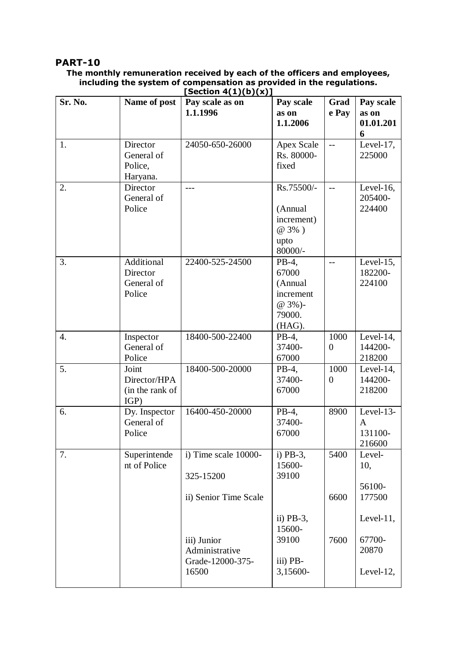## **PART-10**

## **The monthly remuneration received by each of the officers and employees, including the system of compensation as provided in the regulations. [Section 4(1)(b)(x)]**

| Sr. No. | Name of post                                     | Pay scale as on<br>1.1.1996                       | Pay scale<br>as on<br>1.1.2006                                       | Grad<br>e Pay          | Pay scale<br>as on<br>01.01.201<br>6           |
|---------|--------------------------------------------------|---------------------------------------------------|----------------------------------------------------------------------|------------------------|------------------------------------------------|
| 1.      | Director<br>General of<br>Police,<br>Haryana.    | 24050-650-26000                                   | <b>Apex Scale</b><br>Rs. 80000-<br>fixed                             | $-$                    | Level-17,<br>225000                            |
| 2.      | Director<br>General of<br>Police                 | $---$                                             | Rs.75500/-<br>(Annual<br>increment)<br>@ 3%)<br>upto<br>80000/-      | $-$                    | Level-16,<br>205400-<br>224400                 |
| 3.      | Additional<br>Director<br>General of<br>Police   | 22400-525-24500                                   | PB-4,<br>67000<br>(Annual<br>increment<br>@ 3%)-<br>79000.<br>(HAG). | $-$                    | Level- $15$ ,<br>182200-<br>224100             |
| 4.      | Inspector<br>General of<br>Police                | 18400-500-22400                                   | PB-4,<br>37400-<br>67000                                             | 1000<br>$\overline{0}$ | Level- $14$ ,<br>144200-<br>218200             |
| 5.      | Joint<br>Director/HPA<br>(in the rank of<br>IGP) | 18400-500-20000                                   | $PB-4$ ,<br>37400-<br>67000                                          | 1000<br>$\theta$       | Level-14,<br>144200-<br>218200                 |
| 6.      | Dy. Inspector<br>General of<br>Police            | 16400-450-20000                                   | PB-4,<br>37400-<br>67000                                             | 8900                   | Level-13-<br>$\mathbf{A}$<br>131100-<br>216600 |
| 7.      | Superintende<br>nt of Police                     | i) Time scale 10000-<br>325-15200                 | i) $PB-3$ ,<br>15600-<br>39100                                       | 5400                   | Level-<br>10,<br>56100-                        |
|         |                                                  | ii) Senior Time Scale                             | ii) $PB-3$ ,<br>15600-                                               | 6600                   | 177500<br>Level- $11$ ,                        |
|         |                                                  | iii) Junior<br>Administrative<br>Grade-12000-375- | 39100<br>iii) PB-                                                    | 7600                   | 67700-<br>20870                                |
|         |                                                  | 16500                                             | 3,15600-                                                             |                        | Level- $12$ ,                                  |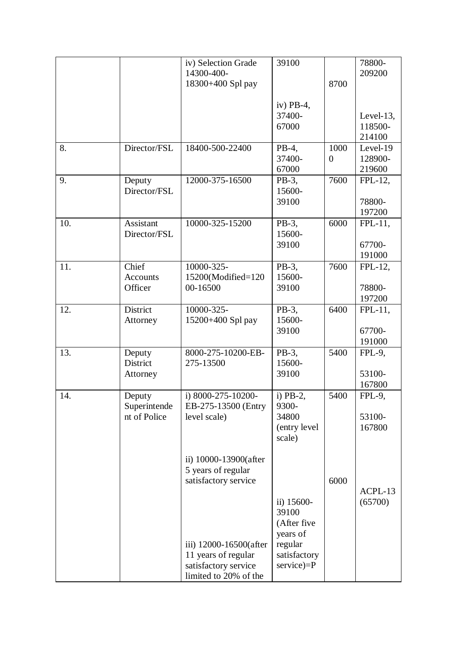|     |                                        | iv) Selection Grade<br>14300-400-                                                              | 39100                                                                       |                  | 78800-<br>209200                   |
|-----|----------------------------------------|------------------------------------------------------------------------------------------------|-----------------------------------------------------------------------------|------------------|------------------------------------|
|     |                                        | 18300+400 Spl pay                                                                              |                                                                             | 8700             |                                    |
|     |                                        |                                                                                                | iv) $PB-4$ ,<br>37400-<br>67000                                             |                  | Level- $13$ ,<br>118500-<br>214100 |
| 8.  | Director/FSL                           | 18400-500-22400                                                                                | PB-4,<br>37400-<br>67000                                                    | 1000<br>$\theta$ | Level-19<br>128900-<br>219600      |
| 9.  | Deputy<br>Director/FSL                 | 12000-375-16500                                                                                | PB-3,<br>15600-<br>39100                                                    | 7600             | FPL-12,<br>78800-<br>197200        |
| 10. | Assistant<br>Director/FSL              | 10000-325-15200                                                                                | PB-3,<br>15600-<br>39100                                                    | 6000             | FPL-11,<br>67700-<br>191000        |
| 11. | Chief<br><b>Accounts</b><br>Officer    | 10000-325-<br>15200(Modified=120<br>00-16500                                                   | PB-3,<br>15600-<br>39100                                                    | 7600             | FPL-12,<br>78800-<br>197200        |
| 12. | District<br>Attorney                   | 10000-325-<br>15200+400 Spl pay                                                                | PB-3,<br>15600-<br>39100                                                    | 6400             | $FPL-11$ ,<br>67700-<br>191000     |
| 13. | Deputy<br>District<br>Attorney         | 8000-275-10200-EB-<br>275-13500                                                                | PB-3,<br>15600-<br>39100                                                    | 5400             | FPL-9,<br>53100-<br>167800         |
| 14. | Deputy<br>Superintende<br>nt of Police | i) $8000 - 275 - 10200$<br>EB-275-13500 (Entry<br>level scale)                                 | i) $PB-2$ ,<br>9300-<br>34800<br>(entry level<br>scale)                     | 5400             | $FPL-9$ ,<br>53100-<br>167800      |
|     |                                        | ii) 10000-13900(after<br>5 years of regular<br>satisfactory service                            | ii) 15600-                                                                  | 6000             | ACPL-13<br>(65700)                 |
|     |                                        | iii) 12000-16500(after<br>11 years of regular<br>satisfactory service<br>limited to 20% of the | 39100<br>(After five<br>years of<br>regular<br>satisfactory<br>$service)=P$ |                  |                                    |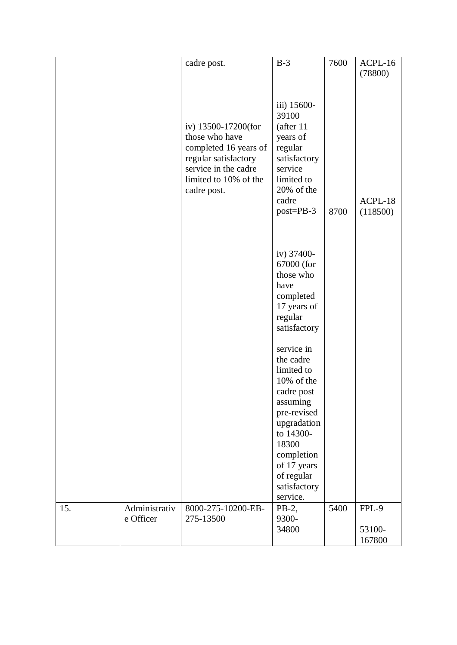|     |                            | cadre post.                                                                                                                                            | $B-3$                                                                                                                                       | 7600 | ACPL-16<br>(78800)        |
|-----|----------------------------|--------------------------------------------------------------------------------------------------------------------------------------------------------|---------------------------------------------------------------------------------------------------------------------------------------------|------|---------------------------|
|     |                            | iv) 13500-17200(for<br>those who have<br>completed 16 years of<br>regular satisfactory<br>service in the cadre<br>limited to 10% of the<br>cadre post. | iii) 15600-<br>39100<br>(after 11<br>years of<br>regular<br>satisfactory<br>service<br>limited to<br>20% of the<br>cadre<br>$post = PB - 3$ | 8700 | ACPL-18<br>(118500)       |
|     |                            |                                                                                                                                                        | iv) 37400-<br>67000 (for<br>those who<br>have<br>completed<br>17 years of<br>regular<br>satisfactory                                        |      |                           |
|     |                            |                                                                                                                                                        | service in<br>the cadre<br>limited to<br>10% of the<br>cadre post<br>assuming<br>pre-revised<br>upgradation<br>to 14300-                    |      |                           |
|     |                            |                                                                                                                                                        | 18300<br>completion<br>of 17 years<br>of regular<br>satisfactory<br>service.                                                                |      |                           |
| 15. | Administrativ<br>e Officer | 8000-275-10200-EB-<br>275-13500                                                                                                                        | $PB-2$ ,<br>9300-<br>34800                                                                                                                  | 5400 | FPL-9<br>53100-<br>167800 |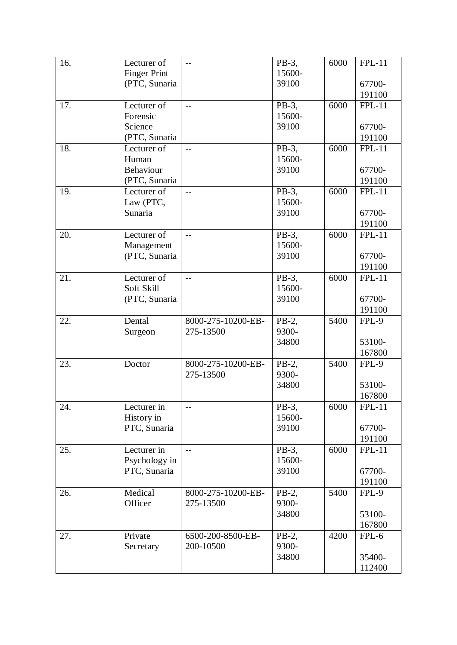| 16. | Lecturer of                | $-$                | PB-3,    | 6000 | $FPL-11$ |
|-----|----------------------------|--------------------|----------|------|----------|
|     | <b>Finger Print</b>        |                    | 15600-   |      |          |
|     | (PTC, Sunaria              |                    | 39100    |      | 67700-   |
|     |                            |                    |          |      | 191100   |
| 17. | Lecturer of                | $-$                | PB-3,    | 6000 | $FPL-11$ |
|     | Forensic                   |                    | 15600-   |      |          |
|     | Science                    |                    | 39100    |      | 67700-   |
|     | (PTC, Sunaria              |                    |          |      | 191100   |
| 18. | Lecturer of                | $\overline{a}$     | PB-3,    | 6000 | $FPL-11$ |
|     | Human                      |                    | 15600-   |      |          |
|     | Behaviour                  |                    | 39100    |      |          |
|     |                            |                    |          |      | 67700-   |
|     | (PTC, Sunaria              |                    |          |      | 191100   |
| 19. | Lecturer of                | $\overline{a}$     | PB-3,    | 6000 | $FPL-11$ |
|     | Law (PTC,                  |                    | 15600-   |      |          |
|     | Sunaria                    |                    | 39100    |      | 67700-   |
|     |                            |                    |          |      | 191100   |
| 20. | Lecturer of                | $\overline{a}$     | PB-3,    | 6000 | $FPL-11$ |
|     | Management                 |                    | 15600-   |      |          |
|     | (PTC, Sunaria              |                    | 39100    |      | 67700-   |
|     |                            |                    |          |      | 191100   |
| 21. | Lecturer of                | $-$                | PB-3.    | 6000 | $FPL-11$ |
|     | Soft Skill                 |                    | 15600-   |      |          |
|     | (PTC, Sunaria              |                    | 39100    |      | 67700-   |
|     |                            |                    |          |      | 191100   |
| 22. | Dental                     | 8000-275-10200-EB- | $PB-2$ , | 5400 | FPL-9    |
|     | Surgeon                    | 275-13500          | 9300-    |      |          |
|     |                            |                    | 34800    |      | 53100-   |
|     |                            |                    |          |      | 167800   |
| 23. | Doctor                     | 8000-275-10200-EB- | PB-2,    | 5400 | FPL-9    |
|     |                            | 275-13500          | 9300-    |      |          |
|     |                            |                    | 34800    |      | 53100-   |
|     |                            |                    |          |      | 167800   |
| 24. | Lecturer in                | $-$                | PB-3,    | 6000 | $FPL-11$ |
|     |                            |                    | 15600-   |      |          |
|     | History in<br>PTC, Sunaria |                    | 39100    |      |          |
|     |                            |                    |          |      | 67700-   |
|     |                            |                    |          |      | 191100   |
| 25. | Lecturer in                | $-$                | PB-3,    | 6000 | $FPL-11$ |
|     | Psychology in              |                    | 15600-   |      |          |
|     | PTC, Sunaria               |                    | 39100    |      | 67700-   |
|     |                            |                    |          |      | 191100   |
| 26. | Medical                    | 8000-275-10200-EB- | $PB-2$ , | 5400 | FPL-9    |
|     | Officer                    | 275-13500          | 9300-    |      |          |
|     |                            |                    | 34800    |      | 53100-   |
|     |                            |                    |          |      | 167800   |
| 27. | Private                    | 6500-200-8500-EB-  | $PB-2$ , | 4200 | FPL-6    |
|     | Secretary                  | 200-10500          | 9300-    |      |          |
|     |                            |                    | 34800    |      | 35400-   |
|     |                            |                    |          |      | 112400   |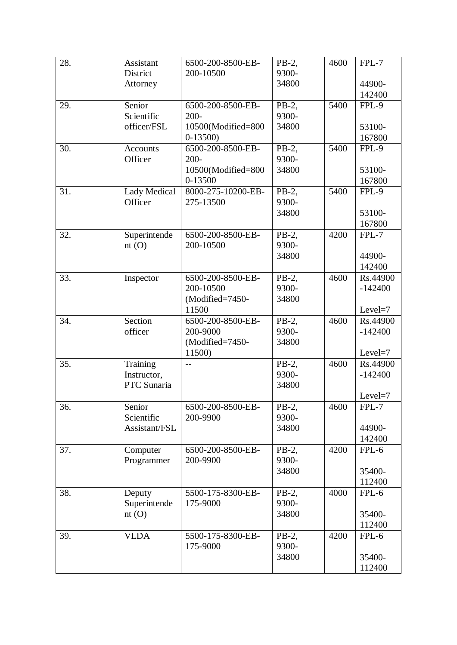| 28. | Assistant           | 6500-200-8500-EB-  | $PB-2$ , | 4600 | $FPL-7$   |
|-----|---------------------|--------------------|----------|------|-----------|
|     | District            | 200-10500          | 9300-    |      |           |
|     | Attorney            |                    | 34800    |      | 44900-    |
|     |                     |                    |          |      | 142400    |
| 29. | Senior              | 6500-200-8500-EB-  | PB-2,    | 5400 | FPL-9     |
|     | Scientific          | $200 -$            | 9300-    |      |           |
|     | officer/FSL         | 10500(Modified=800 | 34800    |      | 53100-    |
|     |                     | $0-13500$          |          |      | 167800    |
| 30. | Accounts            | 6500-200-8500-EB-  | PB-2,    | 5400 | FPL-9     |
|     | Officer             | $200 -$            | 9300-    |      |           |
|     |                     | 10500(Modified=800 | 34800    |      | 53100-    |
|     |                     | 0-13500            |          |      | 167800    |
| 31. | <b>Lady Medical</b> | 8000-275-10200-EB- | PB-2,    | 5400 | FPL-9     |
|     | Officer             | 275-13500          | 9300-    |      |           |
|     |                     |                    | 34800    |      | 53100-    |
|     |                     |                    |          |      | 167800    |
| 32. | Superintende        | 6500-200-8500-EB-  | PB-2,    | 4200 | $FPL-7$   |
|     | nt(0)               | 200-10500          | 9300-    |      |           |
|     |                     |                    | 34800    |      | 44900-    |
|     |                     |                    |          |      | 142400    |
| 33. | Inspector           | 6500-200-8500-EB-  | PB-2,    | 4600 | Rs.44900  |
|     |                     | 200-10500          | 9300-    |      | $-142400$ |
|     |                     | (Modified=7450-    | 34800    |      |           |
|     |                     | 11500              |          |      | $Level=7$ |
| 34. | Section             | 6500-200-8500-EB-  | PB-2,    | 4600 | Rs.44900  |
|     | officer             | 200-9000           | 9300-    |      | $-142400$ |
|     |                     | (Modified=7450-    | 34800    |      |           |
|     |                     | 11500)             |          |      | $Level=7$ |
| 35. | Training            | $-$                | $PB-2$ , | 4600 | Rs.44900  |
|     | Instructor,         |                    | 9300-    |      | $-142400$ |
|     | PTC Sunaria         |                    | 34800    |      |           |
|     |                     |                    |          |      | $Level=7$ |
| 36. | Senior              | 6500-200-8500-EB-  | PB-2,    | 4600 | FPL-7     |
|     | Scientific          | 200-9900           | 9300-    |      |           |
|     | Assistant/FSL       |                    | 34800    |      | 44900-    |
|     |                     |                    |          |      | 142400    |
| 37. | Computer            | 6500-200-8500-EB-  | PB-2,    | 4200 | $FPL-6$   |
|     | Programmer          | 200-9900           | 9300-    |      |           |
|     |                     |                    | 34800    |      | 35400-    |
|     |                     |                    |          |      | 112400    |
| 38. | Deputy              | 5500-175-8300-EB-  | $PB-2$ , | 4000 | $FPL-6$   |
|     | Superintende        | 175-9000           | 9300-    |      |           |
|     | nt(0)               |                    | 34800    |      | 35400-    |
|     |                     |                    |          |      | 112400    |
| 39. | <b>VLDA</b>         | 5500-175-8300-EB-  | $PB-2$ , | 4200 | FPL-6     |
|     |                     | 175-9000           | 9300-    |      |           |
|     |                     |                    | 34800    |      | 35400-    |
|     |                     |                    |          |      | 112400    |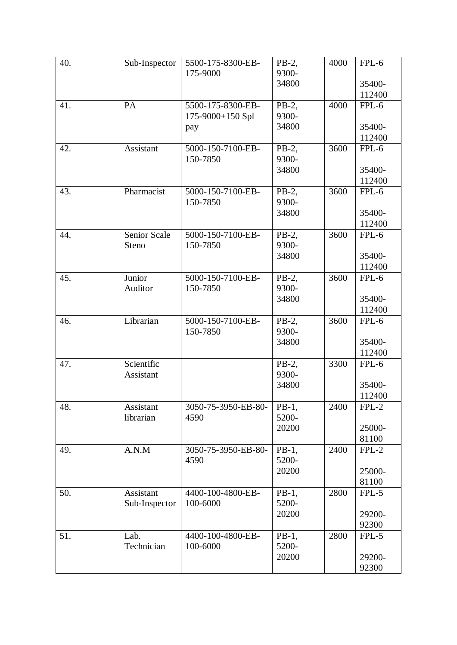| 40. | Sub-Inspector       | 5500-175-8300-EB-   | $PB-2$ , | 4000 | FPL-6   |
|-----|---------------------|---------------------|----------|------|---------|
|     |                     | 175-9000            | 9300-    |      |         |
|     |                     |                     | 34800    |      | 35400-  |
|     |                     |                     |          |      | 112400  |
| 41. | PA                  | 5500-175-8300-EB-   | $PB-2$ , | 4000 | $FPL-6$ |
|     |                     | 175-9000+150 Spl    | 9300-    |      |         |
|     |                     | pay                 | 34800    |      | 35400-  |
|     |                     |                     |          |      | 112400  |
| 42. | Assistant           | 5000-150-7100-EB-   | PB-2,    | 3600 | $FPL-6$ |
|     |                     | 150-7850            | 9300-    |      |         |
|     |                     |                     | 34800    |      | 35400-  |
|     |                     |                     |          |      | 112400  |
| 43. | Pharmacist          | 5000-150-7100-EB-   | PB-2,    | 3600 | FPL-6   |
|     |                     | 150-7850            | 9300-    |      |         |
|     |                     |                     | 34800    |      | 35400-  |
|     |                     |                     |          |      | 112400  |
| 44. | <b>Senior Scale</b> | 5000-150-7100-EB-   | PB-2,    | 3600 | $FPL-6$ |
|     | Steno               | 150-7850            | 9300-    |      |         |
|     |                     |                     | 34800    |      | 35400-  |
|     |                     |                     |          |      | 112400  |
| 45. | Junior              | 5000-150-7100-EB-   | $PB-2$ , | 3600 | FPL-6   |
|     | Auditor             | 150-7850            | 9300-    |      |         |
|     |                     |                     | 34800    |      | 35400-  |
|     |                     |                     |          |      | 112400  |
| 46. | Librarian           | 5000-150-7100-EB-   | PB-2,    | 3600 | $FPL-6$ |
|     |                     | 150-7850            | 9300-    |      |         |
|     |                     |                     | 34800    |      | 35400-  |
|     |                     |                     |          |      | 112400  |
| 47. | Scientific          |                     | $PB-2$ , | 3300 | FPL-6   |
|     | Assistant           |                     | 9300-    |      |         |
|     |                     |                     | 34800    |      | 35400-  |
|     |                     |                     |          |      | 112400  |
| 48. | Assistant           | 3050-75-3950-EB-80- | $PB-1,$  | 2400 | $FPL-2$ |
|     | librarian           | 4590                | 5200-    |      |         |
|     |                     |                     | 20200    |      | 25000-  |
|     |                     |                     |          |      | 81100   |
| 49. | A.N.M               | 3050-75-3950-EB-80- | $PB-1$ , | 2400 | $FPL-2$ |
|     |                     | 4590                | 5200-    |      |         |
|     |                     |                     | 20200    |      | 25000-  |
|     |                     |                     |          |      | 81100   |
| 50. | Assistant           | 4400-100-4800-EB-   | $PB-1,$  | 2800 | $FPL-5$ |
|     | Sub-Inspector       | 100-6000            | 5200-    |      |         |
|     |                     |                     | 20200    |      | 29200-  |
|     |                     |                     |          |      | 92300   |
| 51. | Lab.                | 4400-100-4800-EB-   | $PB-1,$  | 2800 | FPL-5   |
|     | Technician          | 100-6000            | 5200-    |      |         |
|     |                     |                     | 20200    |      | 29200-  |
|     |                     |                     |          |      | 92300   |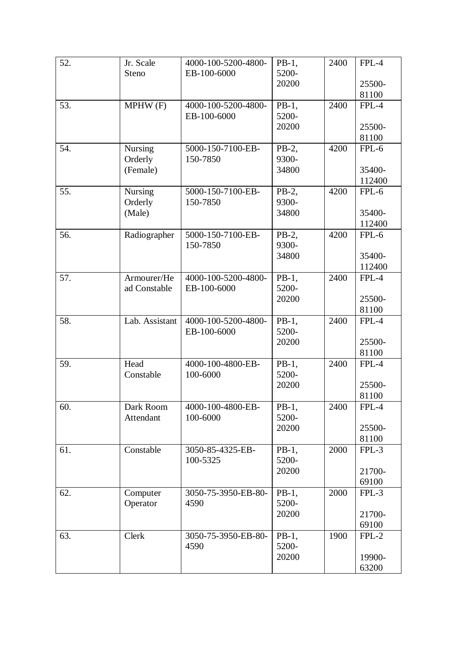| 52. | Jr. Scale      | 4000-100-5200-4800- | $PB-1,$  | 2400 | $FPL-4$ |
|-----|----------------|---------------------|----------|------|---------|
|     | Steno          | EB-100-6000         | 5200-    |      |         |
|     |                |                     | 20200    |      | 25500-  |
|     |                |                     |          |      | 81100   |
| 53. | MPHW(F)        | 4000-100-5200-4800- | $PB-1,$  | 2400 | $FPL-4$ |
|     |                | EB-100-6000         | 5200-    |      |         |
|     |                |                     | 20200    |      | 25500-  |
|     |                |                     |          |      | 81100   |
| 54. | <b>Nursing</b> | 5000-150-7100-EB-   | $PB-2$ , | 4200 | $FPL-6$ |
|     | Orderly        | 150-7850            | 9300-    |      |         |
|     | (Female)       |                     | 34800    |      | 35400-  |
|     |                |                     |          |      | 112400  |
| 55. | <b>Nursing</b> | 5000-150-7100-EB-   | $PB-2$ , | 4200 | FPL-6   |
|     | Orderly        | 150-7850            | 9300-    |      |         |
|     | (Male)         |                     | 34800    |      | 35400-  |
|     |                |                     |          |      | 112400  |
| 56. | Radiographer   | 5000-150-7100-EB-   | $PB-2$ , | 4200 | $FPL-6$ |
|     |                | 150-7850            | 9300-    |      |         |
|     |                |                     | 34800    |      | 35400-  |
|     |                |                     |          |      | 112400  |
| 57. | Armourer/He    | 4000-100-5200-4800- | $PB-1,$  | 2400 | $FPL-4$ |
|     | ad Constable   | EB-100-6000         | 5200-    |      |         |
|     |                |                     | 20200    |      | 25500-  |
|     |                |                     |          |      | 81100   |
| 58. | Lab. Assistant | 4000-100-5200-4800- | $PB-1,$  | 2400 | FPL-4   |
|     |                | EB-100-6000         | 5200-    |      |         |
|     |                |                     | 20200    |      | 25500-  |
|     |                |                     |          |      | 81100   |
| 59. | Head           | 4000-100-4800-EB-   | $PB-1,$  | 2400 | $FPL-4$ |
|     | Constable      | 100-6000            | 5200-    |      |         |
|     |                |                     | 20200    |      | 25500-  |
|     |                |                     |          |      | 81100   |
| 60. | Dark Room      | 4000-100-4800-EB-   | $PB-1,$  | 2400 | FPL-4   |
|     | Attendant      | 100-6000            | 5200-    |      |         |
|     |                |                     | 20200    |      | 25500-  |
|     |                |                     |          |      | 81100   |
| 61. | Constable      | 3050-85-4325-EB-    | $PB-1,$  | 2000 | $FPL-3$ |
|     |                | 100-5325            | 5200-    |      |         |
|     |                |                     | 20200    |      | 21700-  |
|     |                |                     |          |      | 69100   |
| 62. | Computer       | 3050-75-3950-EB-80- | $PB-1$ , | 2000 | $FPL-3$ |
|     | Operator       | 4590                | 5200-    |      |         |
|     |                |                     | 20200    |      | 21700-  |
|     |                |                     |          |      | 69100   |
| 63. | Clerk          | 3050-75-3950-EB-80- | $PB-1,$  | 1900 | $FPL-2$ |
|     |                | 4590                | 5200-    |      |         |
|     |                |                     | 20200    |      | 19900-  |
|     |                |                     |          |      | 63200   |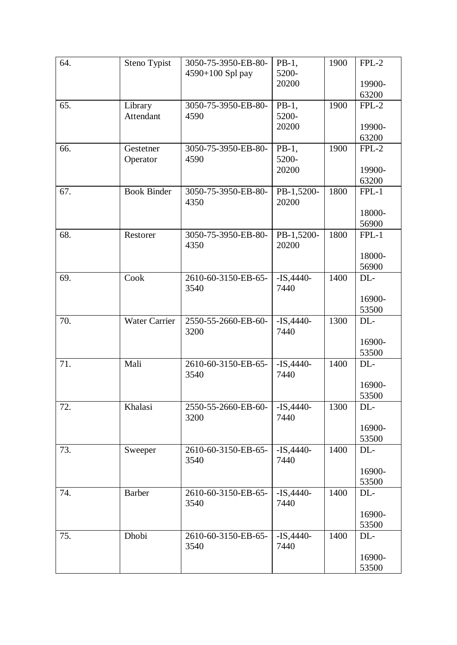| 64. | Steno Typist         | 3050-75-3950-EB-80-         | $PB-1,$             | 1900 | $FPL-2$          |
|-----|----------------------|-----------------------------|---------------------|------|------------------|
|     |                      | 4590+100 Spl pay            | 5200-               |      |                  |
|     |                      |                             | 20200               |      | 19900-<br>63200  |
| 65. | Library              | 3050-75-3950-EB-80-         | $PB-1,$             | 1900 | $FPL-2$          |
|     | Attendant            | 4590                        | 5200-               |      |                  |
|     |                      |                             | 20200               |      | 19900-           |
|     |                      |                             |                     |      | 63200            |
| 66. | Gestetner            | 3050-75-3950-EB-80-         | $PB-1$ ,            | 1900 | $FPL-2$          |
|     | Operator             | 4590                        | 5200-               |      |                  |
|     |                      |                             | 20200               |      | 19900-           |
|     |                      |                             |                     |      | 63200            |
| 67. | <b>Book Binder</b>   | 3050-75-3950-EB-80-         | PB-1,5200-          | 1800 | $FPL-1$          |
|     |                      | 4350                        | 20200               |      |                  |
|     |                      |                             |                     |      | 18000-           |
| 68. | Restorer             | 3050-75-3950-EB-80-         | PB-1,5200-          | 1800 | 56900<br>$FPL-1$ |
|     |                      | 4350                        | 20200               |      |                  |
|     |                      |                             |                     |      | 18000-           |
|     |                      |                             |                     |      | 56900            |
| 69. | Cook                 | 2610-60-3150-EB-65-         | $-IS,4440-$         | 1400 | DL-              |
|     |                      | 3540                        | 7440                |      |                  |
|     |                      |                             |                     |      | 16900-           |
|     |                      |                             |                     |      | 53500            |
| 70. | <b>Water Carrier</b> | 2550-55-2660-EB-60-         | $-IS,4440-$         | 1300 | DL-              |
|     |                      | 3200                        | 7440                |      |                  |
|     |                      |                             |                     |      | 16900-           |
|     |                      |                             |                     |      | 53500            |
| 71. | Mali                 | 2610-60-3150-EB-65-<br>3540 | $-IS,4440-$<br>7440 | 1400 | DL-              |
|     |                      |                             |                     |      | 16900-           |
|     |                      |                             |                     |      | 53500            |
| 72. | Khalasi              | 2550-55-2660-EB-60-         | $-IS,4440-$         | 1300 | DL-              |
|     |                      | 3200                        | 7440                |      |                  |
|     |                      |                             |                     |      | 16900-           |
|     |                      |                             |                     |      | 53500            |
| 73. | Sweeper              | 2610-60-3150-EB-65-         | $-IS,4440-$         | 1400 | DL-              |
|     |                      | 3540                        | 7440                |      |                  |
|     |                      |                             |                     |      | 16900-           |
|     |                      |                             |                     |      | 53500            |
| 74. | <b>Barber</b>        | 2610-60-3150-EB-65-         | $-IS,4440-$         | 1400 | DL-              |
|     |                      | 3540                        | 7440                |      |                  |
|     |                      |                             |                     |      | 16900-<br>53500  |
| 75. | Dhobi                | 2610-60-3150-EB-65-         | $-IS,4440-$         | 1400 | DL-              |
|     |                      | 3540                        | 7440                |      |                  |
|     |                      |                             |                     |      | 16900-           |
|     |                      |                             |                     |      | 53500            |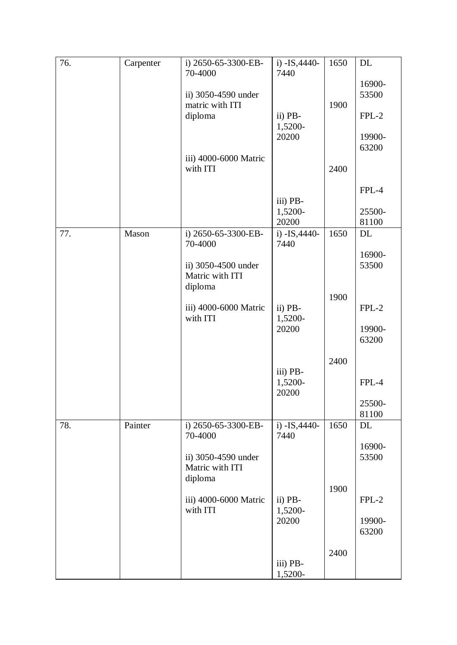| 76. | Carpenter | i) 2650-65-3300-EB-               | i) $-IS,4440-$        | 1650 | DL              |
|-----|-----------|-----------------------------------|-----------------------|------|-----------------|
|     |           | 70-4000                           | 7440                  |      | 16900-          |
|     |           | ii) 3050-4590 under               |                       |      | 53500           |
|     |           | matric with ITI                   |                       | 1900 |                 |
|     |           | diploma                           | ii) PB-<br>1,5200-    |      | $FPL-2$         |
|     |           |                                   | 20200                 |      | 19900-          |
|     |           |                                   |                       |      | 63200           |
|     |           | iii) 4000-6000 Matric<br>with ITI |                       | 2400 |                 |
|     |           |                                   |                       |      |                 |
|     |           |                                   |                       |      | $FPL-4$         |
|     |           |                                   | iii) PB-<br>1,5200-   |      | 25500-          |
|     |           |                                   | 20200                 |      | 81100           |
| 77. | Mason     | i) 2650-65-3300-EB-<br>70-4000    | i) -IS, 4440-<br>7440 | 1650 | DL              |
|     |           | ii) 3050-4500 under               |                       |      | 16900-<br>53500 |
|     |           | Matric with ITI                   |                       |      |                 |
|     |           | diploma                           |                       |      |                 |
|     |           | iii) 4000-6000 Matric             | ii) PB-               | 1900 | $FPL-2$         |
|     |           | with ITI                          | 1,5200-               |      |                 |
|     |           |                                   | 20200                 |      | 19900-          |
|     |           |                                   |                       |      | 63200           |
|     |           |                                   |                       | 2400 |                 |
|     |           |                                   | iii) PB-              |      |                 |
|     |           |                                   | 1,5200-<br>20200      |      | $FPL-4$         |
|     |           |                                   |                       |      | 25500-          |
|     |           |                                   |                       |      | 81100           |
| 78. | Painter   | i) 2650-65-3300-EB-               | i) $-IS,4440-$        | 1650 | DL              |
|     |           | 70-4000                           | 7440                  |      | 16900-          |
|     |           | ii) 3050-4590 under               |                       |      | 53500           |
|     |           | Matric with ITI                   |                       |      |                 |
|     |           | diploma                           |                       | 1900 |                 |
|     |           | iii) 4000-6000 Matric             | ii) PB-               |      | $FPL-2$         |
|     |           | with ITI                          | 1,5200-               |      |                 |
|     |           |                                   | 20200                 |      | 19900-<br>63200 |
|     |           |                                   |                       |      |                 |
|     |           |                                   |                       | 2400 |                 |
|     |           |                                   | iii) PB-<br>1,5200-   |      |                 |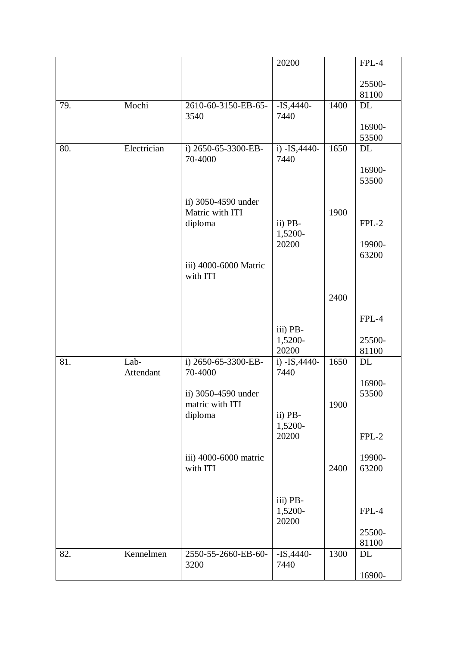|     |                   |                                        | 20200                        |      | FPL-4           |
|-----|-------------------|----------------------------------------|------------------------------|------|-----------------|
|     |                   |                                        |                              |      | 25500-<br>81100 |
| 79. | Mochi             | 2610-60-3150-EB-65-<br>3540            | $-IS,4440-$<br>7440          | 1400 | DL              |
|     |                   |                                        |                              |      | 16900-<br>53500 |
| 80. | Electrician       | i) 2650-65-3300-EB-<br>70-4000         | i) -IS, 4440-<br>7440        | 1650 | DL              |
|     |                   |                                        |                              |      | 16900-<br>53500 |
|     |                   | ii) 3050-4590 under<br>Matric with ITI |                              | 1900 |                 |
|     |                   | diploma                                | ii) PB-<br>1,5200-<br>20200  |      | $FPL-2$         |
|     |                   | iii) 4000-6000 Matric                  |                              |      | 19900-<br>63200 |
|     |                   | with ITI                               |                              |      |                 |
|     |                   |                                        |                              | 2400 |                 |
|     |                   |                                        |                              |      | $FPL-4$         |
|     |                   |                                        | iii) PB-<br>1,5200-<br>20200 |      | 25500-<br>81100 |
| 81. | Lab-<br>Attendant | i) 2650-65-3300-EB-<br>70-4000         | i) $-IS,4440-$<br>7440       | 1650 | DL              |
|     |                   | ii) 3050-4590 under                    |                              |      | 16900-<br>53500 |
|     |                   | matric with ITI<br>diploma             | ii) PB-<br>1,5200-           | 1900 |                 |
|     |                   |                                        | 20200                        |      | $FPL-2$         |
|     |                   | iii) 4000-6000 matric<br>with ITI      |                              | 2400 | 19900-<br>63200 |
|     |                   |                                        | iii) PB-<br>1,5200-<br>20200 |      | FPL-4           |
|     |                   |                                        |                              |      | 25500-<br>81100 |
| 82. | Kennelmen         | 2550-55-2660-EB-60-<br>3200            | $-IS,4440-$<br>7440          | 1300 | DL              |
|     |                   |                                        |                              |      | 16900-          |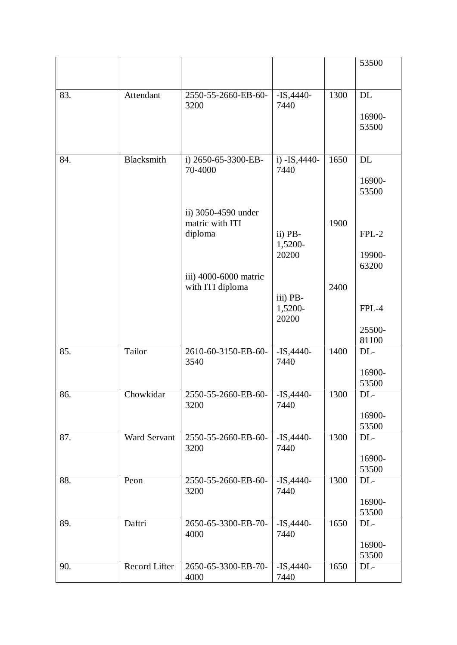|     |                     |                                |                        |      | 53500           |
|-----|---------------------|--------------------------------|------------------------|------|-----------------|
|     |                     |                                |                        |      |                 |
| 83. | Attendant           | 2550-55-2660-EB-60-<br>3200    | $-IS,4440-$<br>7440    | 1300 | DL              |
|     |                     |                                |                        |      | 16900-          |
|     |                     |                                |                        |      | 53500           |
|     |                     |                                |                        |      |                 |
| 84. | <b>Blacksmith</b>   | i) 2650-65-3300-EB-<br>70-4000 | i) $-IS,4440-$<br>7440 | 1650 | <b>DL</b>       |
|     |                     |                                |                        |      | 16900-          |
|     |                     |                                |                        |      | 53500           |
|     |                     | ii) 3050-4590 under            |                        |      |                 |
|     |                     | matric with ITI                |                        | 1900 | $FPL-2$         |
|     |                     | diploma                        | ii) PB-<br>1,5200-     |      |                 |
|     |                     |                                | 20200                  |      | 19900-          |
|     |                     | iii) 4000-6000 matric          |                        |      | 63200           |
|     |                     | with ITI diploma               |                        | 2400 |                 |
|     |                     |                                | iii) PB-<br>1,5200-    |      | FPL-4           |
|     |                     |                                | 20200                  |      |                 |
|     |                     |                                |                        |      | 25500-          |
| 85. | Tailor              | 2610-60-3150-EB-60-            | $-IS,4440-$            | 1400 | 81100<br>DL-    |
|     |                     | 3540                           | 7440                   |      |                 |
|     |                     |                                |                        |      | 16900-<br>53500 |
| 86. | Chowkidar           | 2550-55-2660-EB-60-            | $-IS,4440-$            | 1300 | $DL-$           |
|     |                     | 3200                           | 7440                   |      |                 |
|     |                     |                                |                        |      | 16900-<br>53500 |
| 87. | <b>Ward Servant</b> | 2550-55-2660-EB-60-            | $-IS,4440-$            | 1300 | $DL-$           |
|     |                     | 3200                           | 7440                   |      | 16900-          |
|     |                     |                                |                        |      | 53500           |
| 88. | Peon                | 2550-55-2660-EB-60-<br>3200    | $-IS,4440-$<br>7440    | 1300 | DL-             |
|     |                     |                                |                        |      | 16900-          |
|     |                     |                                |                        |      | 53500           |
| 89. | Daftri              | 2650-65-3300-EB-70-<br>4000    | $-IS,4440-$<br>7440    | 1650 | $DL-$           |
|     |                     |                                |                        |      | 16900-          |
| 90. | Record Lifter       | 2650-65-3300-EB-70-            | $-IS,4440-$            | 1650 | 53500<br>$DL-$  |
|     |                     | 4000                           | 7440                   |      |                 |